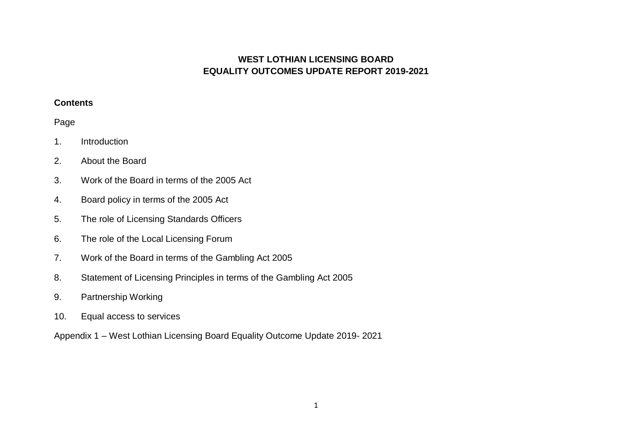## **WEST LOTHIAN LICENSING BOARD EQUALITY OUTCOMES UPDATE REPORT 2019-2021**

#### **Contents**

# Page

- 1. Introduction
- 2. About the Board
- 3. Work of the Board in terms of the 2005 Act
- 4. Board policy in terms of the 2005 Act
- 5. The role of Licensing Standards Officers
- 6. The role of the Local Licensing Forum
- 7. Work of the Board in terms of the Gambling Act 2005
- 8. Statement of Licensing Principles in terms of the Gambling Act 2005
- 9. Partnership Working
- 10. Equal access to services

Appendix 1 – West Lothian Licensing Board Equality Outcome Update 2019- 2021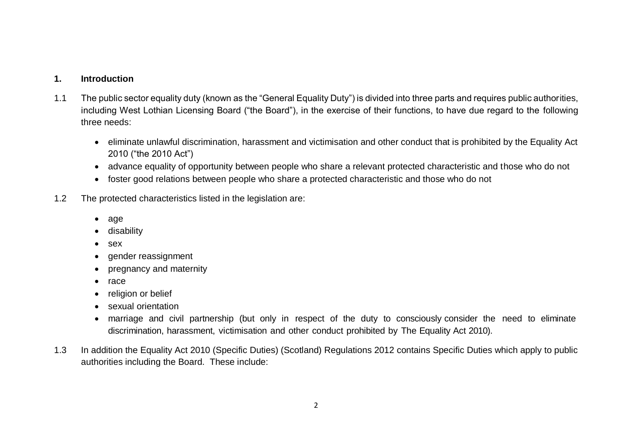#### **1. Introduction**

- 1.1 The public sector equality duty (known as the "General Equality Duty") is divided into three parts and requires public authorities, including West Lothian Licensing Board ("the Board"), in the exercise of their functions, to have due regard to the following three needs:
	- eliminate unlawful discrimination, harassment and victimisation and other conduct that is prohibited by the Equality Act 2010 ("the 2010 Act")
	- advance equality of opportunity between people who share a relevant protected characteristic and those who do not
	- foster good relations between people who share a protected characteristic and those who do not
- 1.2 The protected characteristics listed in the legislation are:
	- age
	- disability
	- sex
	- gender reassignment
	- pregnancy and maternity
	- race
	- religion or belief
	- sexual orientation
	- marriage and civil partnership (but only in respect of the duty to consciously consider the need to eliminate discrimination, harassment, victimisation and other conduct prohibited by The Equality Act 2010).
- 1.3 In addition the Equality Act 2010 (Specific Duties) (Scotland) Regulations 2012 contains Specific Duties which apply to public authorities including the Board. These include: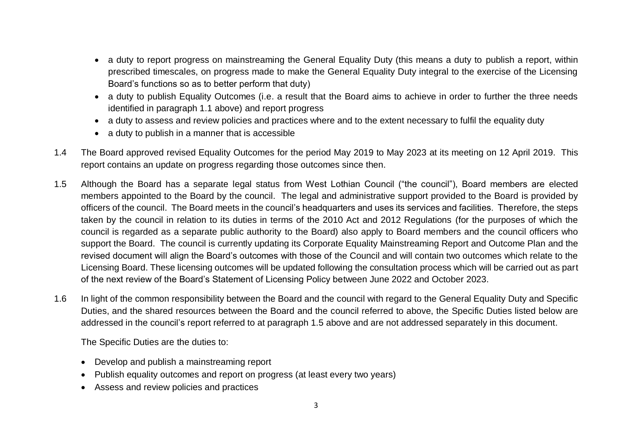- a duty to report progress on mainstreaming the General Equality Duty (this means a duty to publish a report, within prescribed timescales, on progress made to make the General Equality Duty integral to the exercise of the Licensing Board's functions so as to better perform that duty)
- a duty to publish Equality Outcomes (i.e. a result that the Board aims to achieve in order to further the three needs identified in paragraph 1.1 above) and report progress
- a duty to assess and review policies and practices where and to the extent necessary to fulfil the equality duty
- a duty to publish in a manner that is accessible
- 1.4 The Board approved revised Equality Outcomes for the period May 2019 to May 2023 at its meeting on 12 April 2019. This report contains an update on progress regarding those outcomes since then.
- 1.5 Although the Board has a separate legal status from West Lothian Council ("the council"), Board members are elected members appointed to the Board by the council. The legal and administrative support provided to the Board is provided by officers of the council. The Board meets in the council's headquarters and uses its services and facilities. Therefore, the steps taken by the council in relation to its duties in terms of the 2010 Act and 2012 Regulations (for the purposes of which the council is regarded as a separate public authority to the Board) also apply to Board members and the council officers who support the Board. The council is currently updating its Corporate Equality Mainstreaming Report and Outcome Plan and the revised document will align the Board's outcomes with those of the Council and will contain two outcomes which relate to the Licensing Board. These licensing outcomes will be updated following the consultation process which will be carried out as part of the next review of the Board's Statement of Licensing Policy between June 2022 and October 2023.
- 1.6 In light of the common responsibility between the Board and the council with regard to the General Equality Duty and Specific Duties, and the shared resources between the Board and the council referred to above, the Specific Duties listed below are addressed in the council's report referred to at paragraph 1.5 above and are not addressed separately in this document.

The Specific Duties are the duties to:

- Develop and publish a mainstreaming report
- Publish equality outcomes and report on progress (at least every two years)
- Assess and review policies and practices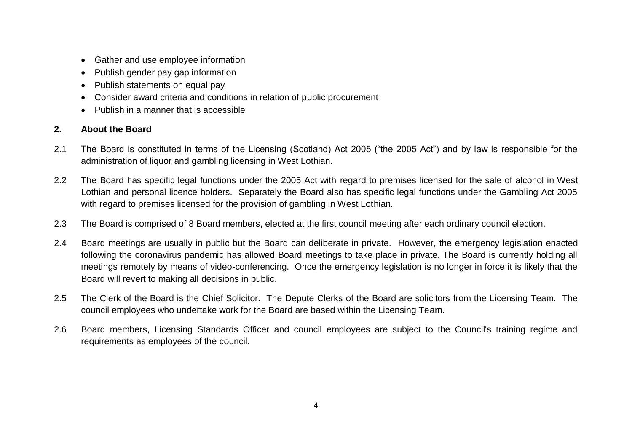- Gather and use employee information
- Publish gender pay gap information
- Publish statements on equal pay
- Consider award criteria and conditions in relation of public procurement
- Publish in a manner that is accessible

# **2. About the Board**

- 2.1 The Board is constituted in terms of the Licensing (Scotland) Act 2005 ("the 2005 Act") and by law is responsible for the administration of liquor and gambling licensing in West Lothian.
- 2.2 The Board has specific legal functions under the 2005 Act with regard to premises licensed for the sale of alcohol in West Lothian and personal licence holders. Separately the Board also has specific legal functions under the Gambling Act 2005 with regard to premises licensed for the provision of gambling in West Lothian.
- 2.3 The Board is comprised of 8 Board members, elected at the first council meeting after each ordinary council election.
- 2.4 Board meetings are usually in public but the Board can deliberate in private. However, the emergency legislation enacted following the coronavirus pandemic has allowed Board meetings to take place in private. The Board is currently holding all meetings remotely by means of video-conferencing. Once the emergency legislation is no longer in force it is likely that the Board will revert to making all decisions in public.
- 2.5 The Clerk of the Board is the Chief Solicitor. The Depute Clerks of the Board are solicitors from the Licensing Team. The council employees who undertake work for the Board are based within the Licensing Team.
- 2.6 Board members, Licensing Standards Officer and council employees are subject to the Council's training regime and requirements as employees of the council.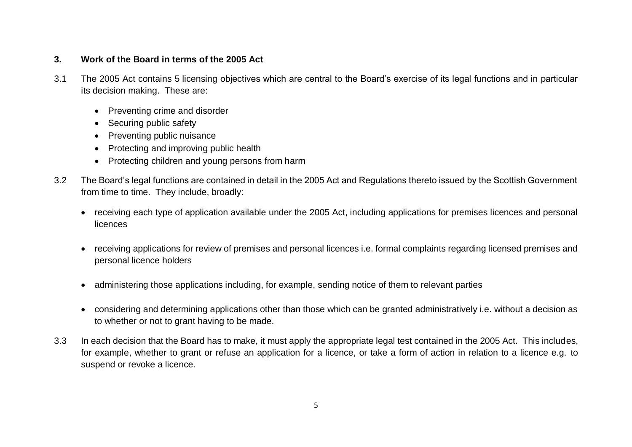## **3. Work of the Board in terms of the 2005 Act**

- 3.1 The 2005 Act contains 5 licensing objectives which are central to the Board's exercise of its legal functions and in particular its decision making. These are:
	- Preventing crime and disorder
	- Securing public safety
	- Preventing public nuisance
	- Protecting and improving public health
	- Protecting children and young persons from harm
- 3.2 The Board's legal functions are contained in detail in the 2005 Act and Regulations thereto issued by the Scottish Government from time to time. They include, broadly:
	- receiving each type of application available under the 2005 Act, including applications for premises licences and personal **licences**
	- receiving applications for review of premises and personal licences i.e. formal complaints regarding licensed premises and personal licence holders
	- administering those applications including, for example, sending notice of them to relevant parties
	- considering and determining applications other than those which can be granted administratively i.e. without a decision as to whether or not to grant having to be made.
- 3.3 In each decision that the Board has to make, it must apply the appropriate legal test contained in the 2005 Act. This includes, for example, whether to grant or refuse an application for a licence, or take a form of action in relation to a licence e.g. to suspend or revoke a licence.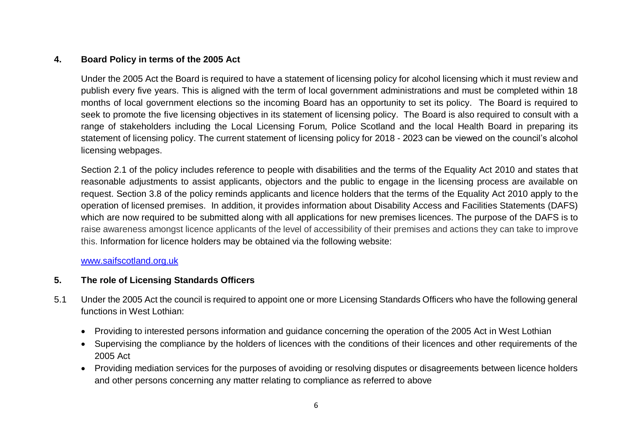## **4. Board Policy in terms of the 2005 Act**

Under the 2005 Act the Board is required to have a statement of licensing policy for alcohol licensing which it must review and publish every five years. This is aligned with the term of local government administrations and must be completed within 18 months of local government elections so the incoming Board has an opportunity to set its policy. The Board is required to seek to promote the five licensing objectives in its statement of licensing policy. The Board is also required to consult with a range of stakeholders including the Local Licensing Forum, Police Scotland and the local Health Board in preparing its statement of licensing policy. The current statement of licensing policy for 2018 - 2023 can be viewed on the council's alcohol licensing webpages.

Section 2.1 of the policy includes reference to people with disabilities and the terms of the Equality Act 2010 and states that reasonable adjustments to assist applicants, objectors and the public to engage in the licensing process are available on request. Section 3.8 of the policy reminds applicants and licence holders that the terms of the Equality Act 2010 apply to the operation of licensed premises. In addition, it provides information about Disability Access and Facilities Statements (DAFS) which are now required to be submitted along with all applications for new premises licences. The purpose of the DAFS is to raise awareness amongst licence applicants of the level of accessibility of their premises and actions they can take to improve this. Information for licence holders may be obtained via the following website:

#### [www.saifscotland.org.uk](http://www.saifscotland.org.uk/)

# **5. The role of Licensing Standards Officers**

- 5.1 Under the 2005 Act the council is required to appoint one or more Licensing Standards Officers who have the following general functions in West Lothian:
	- Providing to interested persons information and guidance concerning the operation of the 2005 Act in West Lothian
	- Supervising the compliance by the holders of licences with the conditions of their licences and other requirements of the 2005 Act
	- Providing mediation services for the purposes of avoiding or resolving disputes or disagreements between licence holders and other persons concerning any matter relating to compliance as referred to above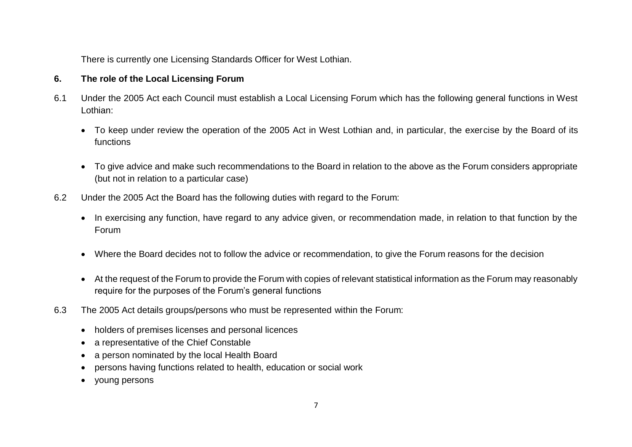There is currently one Licensing Standards Officer for West Lothian.

## **6. The role of the Local Licensing Forum**

- 6.1 Under the 2005 Act each Council must establish a Local Licensing Forum which has the following general functions in West Lothian:
	- To keep under review the operation of the 2005 Act in West Lothian and, in particular, the exercise by the Board of its functions
	- To give advice and make such recommendations to the Board in relation to the above as the Forum considers appropriate (but not in relation to a particular case)
- 6.2 Under the 2005 Act the Board has the following duties with regard to the Forum:
	- In exercising any function, have regard to any advice given, or recommendation made, in relation to that function by the Forum
	- Where the Board decides not to follow the advice or recommendation, to give the Forum reasons for the decision
	- At the request of the Forum to provide the Forum with copies of relevant statistical information as the Forum may reasonably require for the purposes of the Forum's general functions
- 6.3 The 2005 Act details groups/persons who must be represented within the Forum:
	- holders of premises licenses and personal licences
	- a representative of the Chief Constable
	- a person nominated by the local Health Board
	- persons having functions related to health, education or social work
	- young persons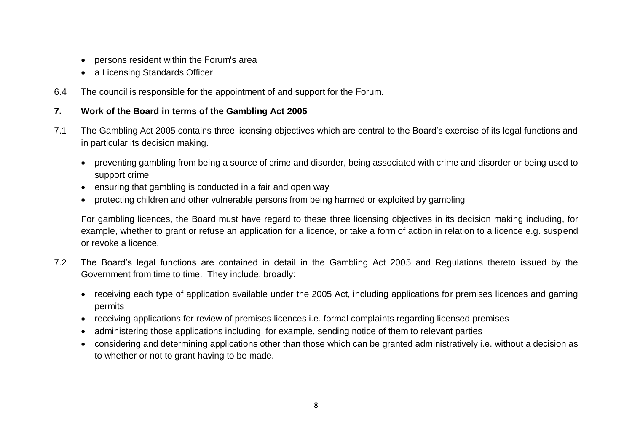- persons resident within the Forum's area
- a Licensing Standards Officer
- 6.4 The council is responsible for the appointment of and support for the Forum.

# **7. Work of the Board in terms of the Gambling Act 2005**

- 7.1 The Gambling Act 2005 contains three licensing objectives which are central to the Board's exercise of its legal functions and in particular its decision making.
	- preventing gambling from being a source of crime and disorder, being associated with crime and disorder or being used to support crime
	- ensuring that gambling is conducted in a fair and open way
	- protecting children and other vulnerable persons from being harmed or exploited by gambling

For gambling licences, the Board must have regard to these three licensing objectives in its decision making including, for example, whether to grant or refuse an application for a licence, or take a form of action in relation to a licence e.g. suspend or revoke a licence.

- 7.2 The Board's legal functions are contained in detail in the Gambling Act 2005 and Regulations thereto issued by the Government from time to time. They include, broadly:
	- receiving each type of application available under the 2005 Act, including applications for premises licences and gaming permits
	- receiving applications for review of premises licences i.e. formal complaints regarding licensed premises
	- administering those applications including, for example, sending notice of them to relevant parties
	- considering and determining applications other than those which can be granted administratively i.e. without a decision as to whether or not to grant having to be made.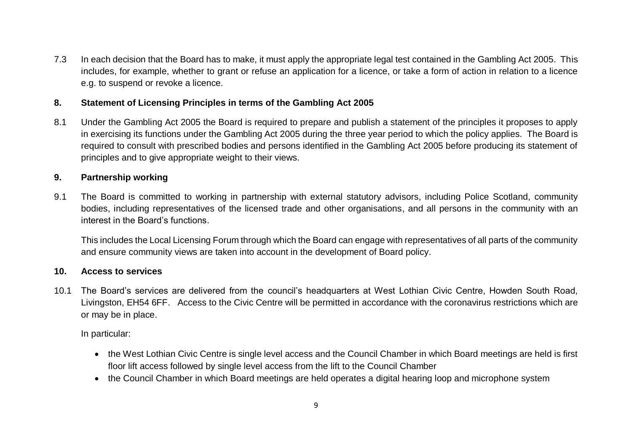7.3 In each decision that the Board has to make, it must apply the appropriate legal test contained in the Gambling Act 2005. This includes, for example, whether to grant or refuse an application for a licence, or take a form of action in relation to a licence e.g. to suspend or revoke a licence.

## **8. Statement of Licensing Principles in terms of the Gambling Act 2005**

8.1 Under the Gambling Act 2005 the Board is required to prepare and publish a statement of the principles it proposes to apply in exercising its functions under the Gambling Act 2005 during the three year period to which the policy applies. The Board is required to consult with prescribed bodies and persons identified in the Gambling Act 2005 before producing its statement of principles and to give appropriate weight to their views.

## **9. Partnership working**

9.1 The Board is committed to working in partnership with external statutory advisors, including Police Scotland, community bodies, including representatives of the licensed trade and other organisations, and all persons in the community with an interest in the Board's functions.

This includes the Local Licensing Forum through which the Board can engage with representatives of all parts of the community and ensure community views are taken into account in the development of Board policy.

#### **10. Access to services**

10.1 The Board's services are delivered from the council's headquarters at West Lothian Civic Centre, Howden South Road, Livingston, EH54 6FF. Access to the Civic Centre will be permitted in accordance with the coronavirus restrictions which are or may be in place.

In particular:

- the West Lothian Civic Centre is single level access and the Council Chamber in which Board meetings are held is first floor lift access followed by single level access from the lift to the Council Chamber
- the Council Chamber in which Board meetings are held operates a digital hearing loop and microphone system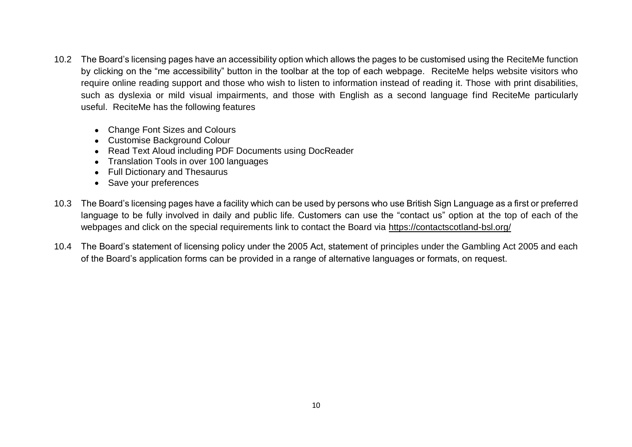- 10.2 The Board's licensing pages have an accessibility option which allows the pages to be customised using the ReciteMe function by clicking on the "me accessibility" button in the toolbar at the top of each webpage. ReciteMe helps website visitors who require online reading support and those who wish to listen to information instead of reading it. Those with print disabilities, such as dyslexia or mild visual impairments, and those with English as a second language find ReciteMe particularly useful. ReciteMe has the following features
	- Change Font Sizes and Colours
	- Customise Background Colour
	- Read Text Aloud including PDF Documents using DocReader
	- Translation Tools in over 100 languages
	- Full Dictionary and Thesaurus
	- Save your preferences
- 10.3 The Board's licensing pages have a facility which can be used by persons who use British Sign Language as a first or preferred language to be fully involved in daily and public life. Customers can use the "contact us" option at the top of each of the webpages and click on the special requirements link to contact the Board via<https://contactscotland-bsl.org/>
- 10.4 The Board's statement of licensing policy under the 2005 Act, statement of principles under the Gambling Act 2005 and each of the Board's application forms can be provided in a range of alternative languages or formats, on request.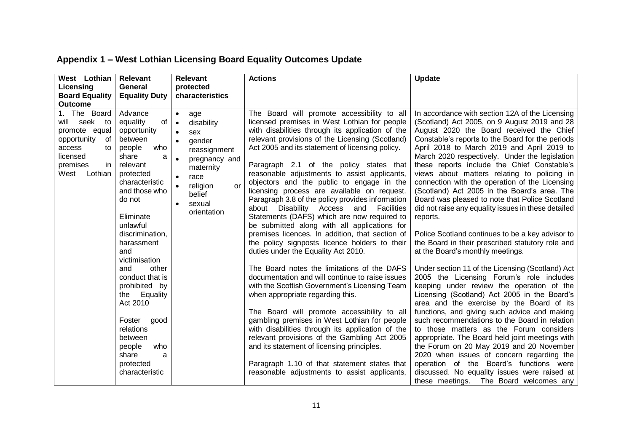| West Lothian<br><b>Relevant</b><br>Licensing<br>General<br><b>Board Equality</b><br><b>Equality Duty</b>                                                                                                                                                                                                                                                                                                                                                                                                                                                               | Relevant<br>protected<br>characteristics                                                                                                                                                                                                        | <b>Actions</b>                                                                                                                                                                                                                                                                                                                                                                                                                                                                                                                                                                                                                                                                                                                                                                                                                                                                                                                                                                                                                                                                                                                                                                                                                                                                                                                     | <b>Update</b>                                                                                                                                                                                                                                                                                                                                                                                                                                                                                                                                                                                                                                                                                                                                                                                                                                                                                                                                                                                                                                                                                                                                                                                                                                                                                                                                                                                                                           |
|------------------------------------------------------------------------------------------------------------------------------------------------------------------------------------------------------------------------------------------------------------------------------------------------------------------------------------------------------------------------------------------------------------------------------------------------------------------------------------------------------------------------------------------------------------------------|-------------------------------------------------------------------------------------------------------------------------------------------------------------------------------------------------------------------------------------------------|------------------------------------------------------------------------------------------------------------------------------------------------------------------------------------------------------------------------------------------------------------------------------------------------------------------------------------------------------------------------------------------------------------------------------------------------------------------------------------------------------------------------------------------------------------------------------------------------------------------------------------------------------------------------------------------------------------------------------------------------------------------------------------------------------------------------------------------------------------------------------------------------------------------------------------------------------------------------------------------------------------------------------------------------------------------------------------------------------------------------------------------------------------------------------------------------------------------------------------------------------------------------------------------------------------------------------------|-----------------------------------------------------------------------------------------------------------------------------------------------------------------------------------------------------------------------------------------------------------------------------------------------------------------------------------------------------------------------------------------------------------------------------------------------------------------------------------------------------------------------------------------------------------------------------------------------------------------------------------------------------------------------------------------------------------------------------------------------------------------------------------------------------------------------------------------------------------------------------------------------------------------------------------------------------------------------------------------------------------------------------------------------------------------------------------------------------------------------------------------------------------------------------------------------------------------------------------------------------------------------------------------------------------------------------------------------------------------------------------------------------------------------------------------|
| <b>Outcome</b>                                                                                                                                                                                                                                                                                                                                                                                                                                                                                                                                                         |                                                                                                                                                                                                                                                 |                                                                                                                                                                                                                                                                                                                                                                                                                                                                                                                                                                                                                                                                                                                                                                                                                                                                                                                                                                                                                                                                                                                                                                                                                                                                                                                                    |                                                                                                                                                                                                                                                                                                                                                                                                                                                                                                                                                                                                                                                                                                                                                                                                                                                                                                                                                                                                                                                                                                                                                                                                                                                                                                                                                                                                                                         |
| 1. The Board<br>Advance<br>of<br>equality<br>will seek to<br>promote equal<br>opportunity<br>of<br>between<br>opportunity<br>who<br>people<br>access<br>to<br>licensed<br>share<br>a<br>premises<br>in<br>relevant<br>West<br>Lothian<br>protected<br>characteristic<br>and those who<br>do not<br>Eliminate<br>unlawful<br>discrimination,<br>harassment<br>and<br>victimisation<br>other<br>and<br>conduct that is<br>prohibited by<br>the Equality<br>Act 2010<br>Foster good<br>relations<br>between<br>people<br>who<br>share<br>a<br>protected<br>characteristic | $\bullet$<br>age<br>disability<br>$\bullet$<br>sex<br>$\bullet$<br>gender<br>$\bullet$<br>reassignment<br>pregnancy and<br>maternity<br>race<br>$\bullet$<br>religion<br>$\bullet$<br><b>or</b><br>belief<br>sexual<br>$\bullet$<br>orientation | The Board will promote accessibility to all<br>licensed premises in West Lothian for people<br>with disabilities through its application of the<br>relevant provisions of the Licensing (Scotland)<br>Act 2005 and its statement of licensing policy.<br>Paragraph 2.1 of the policy states that<br>reasonable adjustments to assist applicants,<br>objectors and the public to engage in the<br>licensing process are available on request.<br>Paragraph 3.8 of the policy provides information<br>about Disability Access<br>Facilities<br>and<br>Statements (DAFS) which are now required to<br>be submitted along with all applications for<br>premises licences. In addition, that section of<br>the policy signposts licence holders to their<br>duties under the Equality Act 2010.<br>The Board notes the limitations of the DAFS<br>documentation and will continue to raise issues<br>with the Scottish Government's Licensing Team<br>when appropriate regarding this.<br>The Board will promote accessibility to all<br>gambling premises in West Lothian for people<br>with disabilities through its application of the<br>relevant provisions of the Gambling Act 2005<br>and its statement of licensing principles.<br>Paragraph 1.10 of that statement states that<br>reasonable adjustments to assist applicants, | In accordance with section 12A of the Licensing<br>(Scotland) Act 2005, on 9 August 2019 and 28<br>August 2020 the Board received the Chief<br>Constable's reports to the Board for the periods<br>April 2018 to March 2019 and April 2019 to<br>March 2020 respectively. Under the legislation<br>these reports include the Chief Constable's<br>views about matters relating to policing in<br>connection with the operation of the Licensing<br>(Scotland) Act 2005 in the Board's area. The<br>Board was pleased to note that Police Scotland<br>did not raise any equality issues in these detailed<br>reports.<br>Police Scotland continues to be a key advisor to<br>the Board in their prescribed statutory role and<br>at the Board's monthly meetings.<br>Under section 11 of the Licensing (Scotland) Act<br>2005 the Licensing Forum's role includes<br>keeping under review the operation of the<br>Licensing (Scotland) Act 2005 in the Board's<br>area and the exercise by the Board of its<br>functions, and giving such advice and making<br>such recommendations to the Board in relation<br>to those matters as the Forum considers<br>appropriate. The Board held joint meetings with<br>the Forum on 20 May 2019 and 20 November<br>2020 when issues of concern regarding the<br>operation of the Board's functions were<br>discussed. No equality issues were raised at<br>these meetings. The Board welcomes any |

# **Appendix 1 – West Lothian Licensing Board Equality Outcomes Update**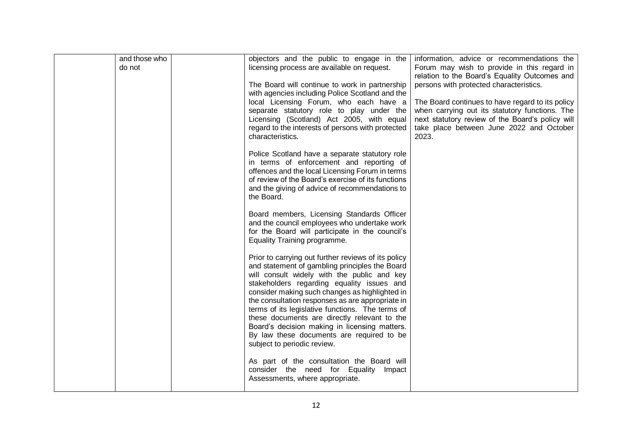| and those who | objectors and the public to engage in the                                                             | information, advice or recommendations the                                                   |
|---------------|-------------------------------------------------------------------------------------------------------|----------------------------------------------------------------------------------------------|
| do not        | licensing process are available on request.                                                           | Forum may wish to provide in this regard in                                                  |
|               | The Board will continue to work in partnership                                                        | relation to the Board's Equality Outcomes and<br>persons with protected characteristics.     |
|               | with agencies including Police Scotland and the                                                       |                                                                                              |
|               | local Licensing Forum, who each have a                                                                | The Board continues to have regard to its policy                                             |
|               | separate statutory role to play under the                                                             | when carrying out its statutory functions. The                                               |
|               | Licensing (Scotland) Act 2005, with equal<br>regard to the interests of persons with protected        | next statutory review of the Board's policy will<br>take place between June 2022 and October |
|               | characteristics.                                                                                      | 2023.                                                                                        |
|               | Police Scotland have a separate statutory role                                                        |                                                                                              |
|               | in terms of enforcement and reporting of                                                              |                                                                                              |
|               | offences and the local Licensing Forum in terms<br>of review of the Board's exercise of its functions |                                                                                              |
|               | and the giving of advice of recommendations to                                                        |                                                                                              |
|               | the Board.                                                                                            |                                                                                              |
|               | Board members, Licensing Standards Officer                                                            |                                                                                              |
|               | and the council employees who undertake work                                                          |                                                                                              |
|               | for the Board will participate in the council's<br>Equality Training programme.                       |                                                                                              |
|               |                                                                                                       |                                                                                              |
|               | Prior to carrying out further reviews of its policy                                                   |                                                                                              |
|               | and statement of gambling principles the Board<br>will consult widely with the public and key         |                                                                                              |
|               | stakeholders regarding equality issues and                                                            |                                                                                              |
|               | consider making such changes as highlighted in                                                        |                                                                                              |
|               | the consultation responses as are appropriate in<br>terms of its legislative functions. The terms of  |                                                                                              |
|               | these documents are directly relevant to the                                                          |                                                                                              |
|               | Board's decision making in licensing matters.                                                         |                                                                                              |
|               | By law these documents are required to be<br>subject to periodic review.                              |                                                                                              |
|               |                                                                                                       |                                                                                              |
|               | As part of the consultation the Board will                                                            |                                                                                              |
|               | consider the need for Equality<br>Impact<br>Assessments, where appropriate.                           |                                                                                              |
|               |                                                                                                       |                                                                                              |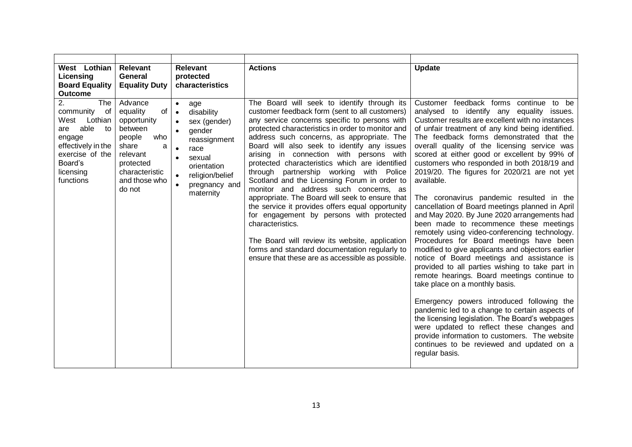| West Lothian<br>Licensing<br><b>Board Equality</b><br><b>Outcome</b>                                                                                             | Relevant<br>General<br><b>Equality Duty</b>                                                                                                              | Relevant<br>protected<br>characteristics                                                                                                                                                                                    | <b>Actions</b>                                                                                                                                                                                                                                                                                                                                                                                                                                                                                                                                                                                                                                                                                                                                                                                                                                                  | <b>Update</b>                                                                                                                                                                                                                                                                                                                                                                                                                                                                                                                                                                                                                                                                                                                                                                                                                                                                                                                                                                                                                                                                                                                                                                                                                                                                                   |
|------------------------------------------------------------------------------------------------------------------------------------------------------------------|----------------------------------------------------------------------------------------------------------------------------------------------------------|-----------------------------------------------------------------------------------------------------------------------------------------------------------------------------------------------------------------------------|-----------------------------------------------------------------------------------------------------------------------------------------------------------------------------------------------------------------------------------------------------------------------------------------------------------------------------------------------------------------------------------------------------------------------------------------------------------------------------------------------------------------------------------------------------------------------------------------------------------------------------------------------------------------------------------------------------------------------------------------------------------------------------------------------------------------------------------------------------------------|-------------------------------------------------------------------------------------------------------------------------------------------------------------------------------------------------------------------------------------------------------------------------------------------------------------------------------------------------------------------------------------------------------------------------------------------------------------------------------------------------------------------------------------------------------------------------------------------------------------------------------------------------------------------------------------------------------------------------------------------------------------------------------------------------------------------------------------------------------------------------------------------------------------------------------------------------------------------------------------------------------------------------------------------------------------------------------------------------------------------------------------------------------------------------------------------------------------------------------------------------------------------------------------------------|
| 2.<br><b>The</b><br>of<br>community<br>West Lothian<br>able<br>to<br>are<br>engage<br>effectively in the<br>exercise of the<br>Board's<br>licensing<br>functions | Advance<br>of<br>equality<br>opportunity<br>between<br>who<br>people<br>share<br>a<br>relevant<br>protected<br>characteristic<br>and those who<br>do not | $\bullet$<br>age<br>disability<br>$\bullet$<br>sex (gender)<br>$\bullet$<br>gender<br>$\bullet$<br>reassignment<br>race<br>$\bullet$<br>sexual<br>$\bullet$<br>orientation<br>religion/belief<br>pregnancy and<br>maternity | The Board will seek to identify through its<br>customer feedback form (sent to all customers)<br>any service concerns specific to persons with<br>protected characteristics in order to monitor and<br>address such concerns, as appropriate. The<br>Board will also seek to identify any issues<br>arising in connection with persons with<br>protected characteristics which are identified<br>through partnership working with Police<br>Scotland and the Licensing Forum in order to<br>monitor and address such concerns, as<br>appropriate. The Board will seek to ensure that<br>the service it provides offers equal opportunity<br>for engagement by persons with protected<br>characteristics.<br>The Board will review its website, application<br>forms and standard documentation regularly to<br>ensure that these are as accessible as possible. | Customer feedback forms continue to be<br>analysed to identify any equality issues.<br>Customer results are excellent with no instances<br>of unfair treatment of any kind being identified.<br>The feedback forms demonstrated that the<br>overall quality of the licensing service was<br>scored at either good or excellent by 99% of<br>customers who responded in both 2018/19 and<br>2019/20. The figures for 2020/21 are not yet<br>available.<br>The coronavirus pandemic resulted in the<br>cancellation of Board meetings planned in April<br>and May 2020. By June 2020 arrangements had<br>been made to recommence these meetings<br>remotely using video-conferencing technology.<br>Procedures for Board meetings have been<br>modified to give applicants and objectors earlier<br>notice of Board meetings and assistance is<br>provided to all parties wishing to take part in<br>remote hearings. Board meetings continue to<br>take place on a monthly basis.<br>Emergency powers introduced following the<br>pandemic led to a change to certain aspects of<br>the licensing legislation. The Board's webpages<br>were updated to reflect these changes and<br>provide information to customers. The website<br>continues to be reviewed and updated on a<br>regular basis. |